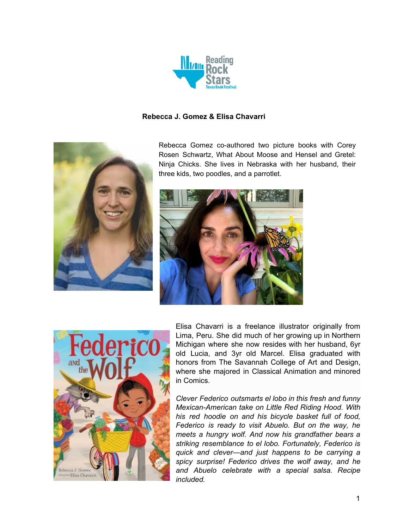

#### **Rebecca J. Gomez & Elisa Chavarri**



Rebecca Gomez co-authored two picture books with Corey Rosen Schwartz, What About Moose and Hensel and Gretel: Ninja Chicks. She lives in Nebraska with her husband, their three kids, two poodles, and a parrotlet.





Elisa Chavarri is a freelance illustrator originally from Lima, Peru. She did much of her growing up in Northern Michigan where she now resides with her husband, 6yr old Lucia, and 3yr old Marcel. Elisa graduated with honors from The Savannah College of Art and Design, where she majored in Classical Animation and minored in Comics.

*Clever Federico outsmarts el lobo in this fresh and funny Mexican-American take on Little Red Riding Hood. With his red hoodie on and his bicycle basket full of food, Federico is ready to visit Abuelo. But on the way, he meets a hungry wolf. And now his grandfather bears a striking resemblance to el lobo. Fortunately, Federico is quick and clever—and just happens to be carrying a spicy surprise! Federico drives the wolf away, and he and Abuelo celebrate with a special salsa. Recipe included.*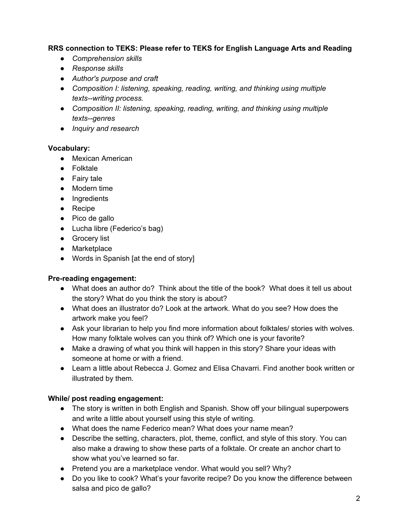## **RRS connection to TEKS: Please refer to TEKS for English Language Arts and Reading**

- *● Comprehension skills*
- *● Response skills*
- *● Author's purpose and craft*
- *● Composition I: listening, speaking, reading, writing, and thinking using multiple texts--writing process.*
- *● Composition II: listening, speaking, reading, writing, and thinking using multiple texts--genres*
- *● Inquiry and research*

### **Vocabulary:**

- Mexican American
- Folktale
- Fairy tale
- Modern time
- Ingredients
- Recipe
- Pico de gallo
- Lucha libre (Federico's bag)
- **•** Grocery list
- Marketplace
- Words in Spanish [at the end of story]

#### **Pre-reading engagement:**

- What does an author do? Think about the title of the book? What does it tell us about the story? What do you think the story is about?
- What does an illustrator do? Look at the artwork. What do you see? How does the artwork make you feel?
- Ask your librarian to help you find more information about folktales/ stories with wolves. How many folktale wolves can you think of? Which one is your favorite?
- Make a drawing of what you think will happen in this story? Share your ideas with someone at home or with a friend.
- Learn a little about Rebecca J. Gomez and Elisa Chavarri. Find another book written or illustrated by them.

## **While/ post reading engagement:**

- The story is written in both English and Spanish. Show off your bilingual superpowers and write a little about yourself using this style of writing.
- What does the name Federico mean? What does your name mean?
- Describe the setting, characters, plot, theme, conflict, and style of this story. You can also make a drawing to show these parts of a folktale. Or create an anchor chart to show what you've learned so far.
- Pretend you are a marketplace vendor. What would you sell? Why?
- Do you like to cook? What's your favorite recipe? Do you know the difference between salsa and pico de gallo?